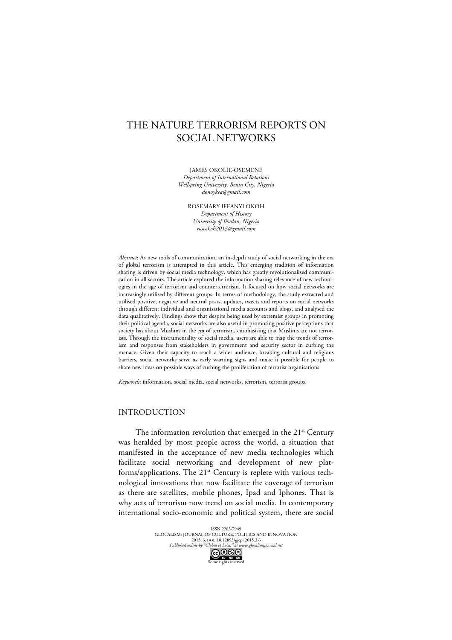# THE NATURE TERRORISM REPORTS ON SOCIAL NETWORKS

JAMES OKOLIE-OSEMENE

*Department of International Relations Wellspring University, Benin City, Nigeria donoykea@gmail.com*

> ROSEMARY IFEANYI OKOH *Department of History University of Ibadan, Nigeria roseokoh2013@gmail.com*

*Abstract*: As new tools of communication, an in-depth study of social networking in the era of global terrorism is attempted in this article. This emerging tradition of information sharing is driven by social media technology, which has greatly revolutionalised communication in all sectors. The article explored the information sharing relevance of new technologies in the age of terrorism and counterterrorism. It focused on how social networks are increasingly utilised by different groups. In terms of methodology, the study extracted and utilised positive, negative and neutral posts, updates, tweets and reports on social networks through different individual and organisational media accounts and blogs, and analysed the data qualitatively. Findings show that despite being used by extremist groups in promoting their political agenda, social networks are also useful in promoting positive perceptions that society has about Muslims in the era of terrorism, emphasising that Muslims are not terrorists. Through the instrumentality of social media, users are able to map the trends of terrorism and responses from stakeholders in government and security sector in curbing the menace. Given their capacity to reach a wider audience, breaking cultural and religious barriers, social networks serve as early warning signs and make it possible for people to share new ideas on possible ways of curbing the proliferation of terrorist organisations.

*Keywords*: information, social media, social networks, terrorism, terrorist groups.

# INTRODUCTION

The information revolution that emerged in the  $21<sup>st</sup>$  Century was heralded by most people across the world, a situation that manifested in the acceptance of new media technologies which facilitate social networking and development of new platforms/applications. The 21<sup>st</sup> Century is replete with various technological innovations that now facilitate the coverage of terrorism as there are satellites, mobile phones, Ipad and Iphones. That is why acts of terrorism now trend on social media. In contemporary international socio-economic and political system, there are social

> ISSN 2283-7949 GLOCALISM: JOURNAL OF CULTURE, POLITICS AND INNOVATION 2015, 3, DOI: 10.12893/gjcpi.2015.3.6 *Published online by "Globus et Locus" at www.glocalismjournal.net*

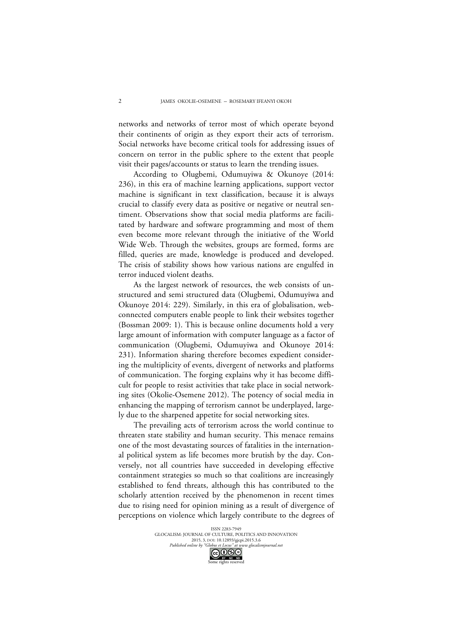networks and networks of terror most of which operate beyond their continents of origin as they export their acts of terrorism. Social networks have become critical tools for addressing issues of concern on terror in the public sphere to the extent that people visit their pages/accounts or status to learn the trending issues.

According to Olugbemi, Odumuyiwa & Okunoye (2014: 236), in this era of machine learning applications, support vector machine is significant in text classification, because it is always crucial to classify every data as positive or negative or neutral sentiment. Observations show that social media platforms are facilitated by hardware and software programming and most of them even become more relevant through the initiative of the World Wide Web. Through the websites, groups are formed, forms are filled, queries are made, knowledge is produced and developed. The crisis of stability shows how various nations are engulfed in terror induced violent deaths.

As the largest network of resources, the web consists of unstructured and semi structured data (Olugbemi, Odumuyiwa and Okunoye 2014: 229). Similarly, in this era of globalisation, webconnected computers enable people to link their websites together (Bossman 2009: 1). This is because online documents hold a very large amount of information with computer language as a factor of communication (Olugbemi, Odumuyiwa and Okunoye 2014: 231). Information sharing therefore becomes expedient considering the multiplicity of events, divergent of networks and platforms of communication. The forging explains why it has become difficult for people to resist activities that take place in social networking sites (Okolie-Osemene 2012). The potency of social media in enhancing the mapping of terrorism cannot be underplayed, largely due to the sharpened appetite for social networking sites.

The prevailing acts of terrorism across the world continue to threaten state stability and human security. This menace remains one of the most devastating sources of fatalities in the international political system as life becomes more brutish by the day. Conversely, not all countries have succeeded in developing effective containment strategies so much so that coalitions are increasingly established to fend threats, although this has contributed to the scholarly attention received by the phenomenon in recent times due to rising need for opinion mining as a result of divergence of perceptions on violence which largely contribute to the degrees of

me rights reserved

 $\mathcal{L}$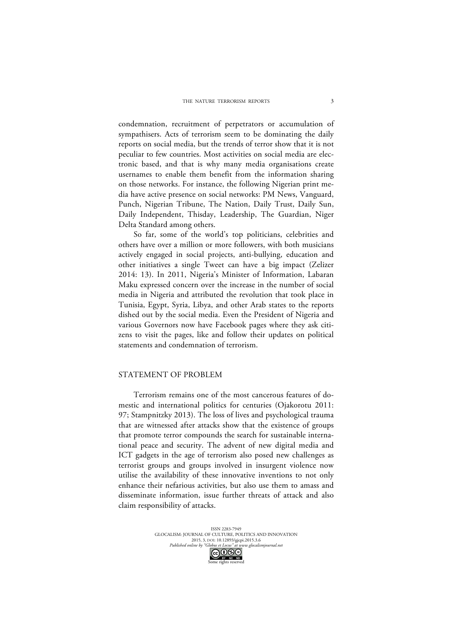condemnation, recruitment of perpetrators or accumulation of sympathisers. Acts of terrorism seem to be dominating the daily reports on social media, but the trends of terror show that it is not peculiar to few countries. Most activities on social media are electronic based, and that is why many media organisations create usernames to enable them benefit from the information sharing on those networks. For instance, the following Nigerian print media have active presence on social networks: PM News, Vanguard, Punch, Nigerian Tribune, The Nation, Daily Trust, Daily Sun, Daily Independent, Thisday, Leadership, The Guardian, Niger Delta Standard among others.

So far, some of the world's top politicians, celebrities and others have over a million or more followers, with both musicians actively engaged in social projects, anti-bullying, education and other initiatives a single Tweet can have a big impact (Zelizer 2014: 13). In 2011, Nigeria's Minister of Information, Labaran Maku expressed concern over the increase in the number of social media in Nigeria and attributed the revolution that took place in Tunisia, Egypt, Syria, Libya, and other Arab states to the reports dished out by the social media. Even the President of Nigeria and various Governors now have Facebook pages where they ask citizens to visit the pages, like and follow their updates on political statements and condemnation of terrorism.

## STATEMENT OF PROBLEM

Terrorism remains one of the most cancerous features of domestic and international politics for centuries (Ojakorotu 2011: 97; Stampnitzky 2013). The loss of lives and psychological trauma that are witnessed after attacks show that the existence of groups that promote terror compounds the search for sustainable international peace and security. The advent of new digital media and ICT gadgets in the age of terrorism also posed new challenges as terrorist groups and groups involved in insurgent violence now utilise the availability of these innovative inventions to not only enhance their nefarious activities, but also use them to amass and disseminate information, issue further threats of attack and also claim responsibility of attacks.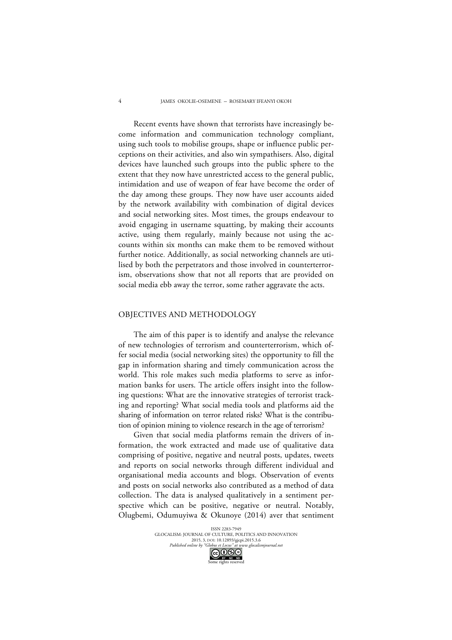Recent events have shown that terrorists have increasingly become information and communication technology compliant, using such tools to mobilise groups, shape or influence public perceptions on their activities, and also win sympathisers. Also, digital devices have launched such groups into the public sphere to the extent that they now have unrestricted access to the general public, intimidation and use of weapon of fear have become the order of the day among these groups. They now have user accounts aided by the network availability with combination of digital devices and social networking sites. Most times, the groups endeavour to avoid engaging in username squatting, by making their accounts active, using them regularly, mainly because not using the accounts within six months can make them to be removed without further notice. Additionally, as social networking channels are utilised by both the perpetrators and those involved in counterterrorism, observations show that not all reports that are provided on social media ebb away the terror, some rather aggravate the acts.

#### OBJECTIVES AND METHODOLOGY

The aim of this paper is to identify and analyse the relevance of new technologies of terrorism and counterterrorism, which offer social media (social networking sites) the opportunity to fill the gap in information sharing and timely communication across the world. This role makes such media platforms to serve as information banks for users. The article offers insight into the following questions: What are the innovative strategies of terrorist tracking and reporting? What social media tools and platforms aid the sharing of information on terror related risks? What is the contribution of opinion mining to violence research in the age of terrorism?

Given that social media platforms remain the drivers of information, the work extracted and made use of qualitative data comprising of positive, negative and neutral posts, updates, tweets and reports on social networks through different individual and organisational media accounts and blogs. Observation of events and posts on social networks also contributed as a method of data collection. The data is analysed qualitatively in a sentiment perspective which can be positive, negative or neutral. Notably, Olugbemi, Odumuyiwa & Okunoye (2014) aver that sentiment

> ISSN 2283-7949 GLOCALISM: JOURNAL OF CULTURE, POLITICS AND INNOVATION 2015, 3, DOI: 10.12893/gjcpi.2015.3.6 *Published online by "Globus et Locus" at www.glocalismjournal.net*<br>  $\bigodot \bigodot \bigodot \bigodot \bigodot$

me rights reserved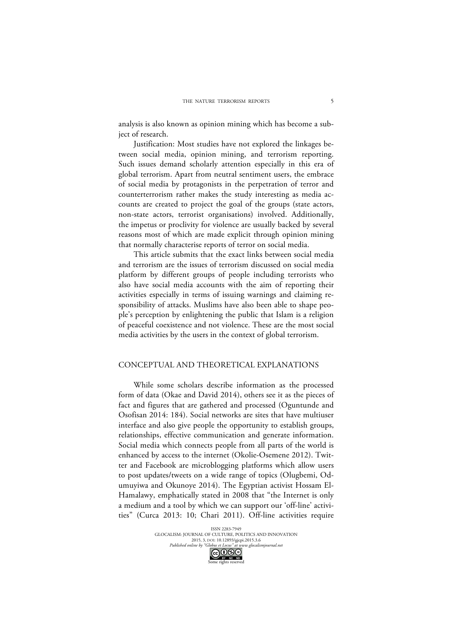analysis is also known as opinion mining which has become a subject of research.

Justification: Most studies have not explored the linkages between social media, opinion mining, and terrorism reporting. Such issues demand scholarly attention especially in this era of global terrorism. Apart from neutral sentiment users, the embrace of social media by protagonists in the perpetration of terror and counterterrorism rather makes the study interesting as media accounts are created to project the goal of the groups (state actors, non-state actors, terrorist organisations) involved. Additionally, the impetus or proclivity for violence are usually backed by several reasons most of which are made explicit through opinion mining that normally characterise reports of terror on social media.

This article submits that the exact links between social media and terrorism are the issues of terrorism discussed on social media platform by different groups of people including terrorists who also have social media accounts with the aim of reporting their activities especially in terms of issuing warnings and claiming responsibility of attacks. Muslims have also been able to shape people's perception by enlightening the public that Islam is a religion of peaceful coexistence and not violence. These are the most social media activities by the users in the context of global terrorism.

## CONCEPTUAL AND THEORETICAL EXPLANATIONS

While some scholars describe information as the processed form of data (Okae and David 2014), others see it as the pieces of fact and figures that are gathered and processed (Oguntunde and Osofisan 2014: 184). Social networks are sites that have multiuser interface and also give people the opportunity to establish groups, relationships, effective communication and generate information. Social media which connects people from all parts of the world is enhanced by access to the internet (Okolie-Osemene 2012). Twitter and Facebook are microblogging platforms which allow users to post updates/tweets on a wide range of topics (Olugbemi, Odumuyiwa and Okunoye 2014). The Egyptian activist Hossam El-Hamalawy, emphatically stated in 2008 that "the Internet is only a medium and a tool by which we can support our 'off-line' activities" (Curca 2013: 10; Chari 2011). Off-line activities require

me rights reserved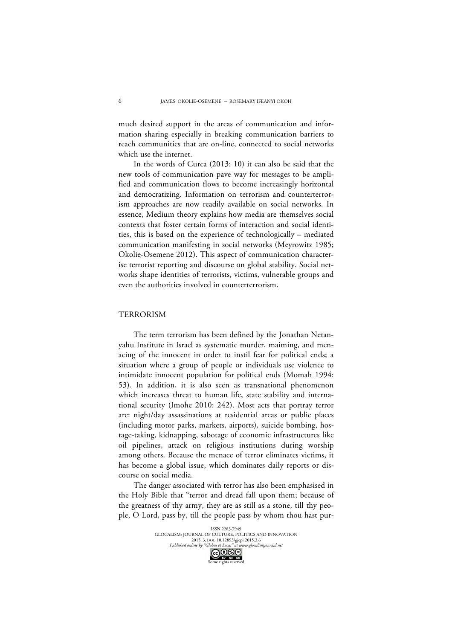much desired support in the areas of communication and information sharing especially in breaking communication barriers to reach communities that are on-line, connected to social networks which use the internet.

In the words of Curca (2013: 10) it can also be said that the new tools of communication pave way for messages to be amplified and communication flows to become increasingly horizontal and democratizing. Information on terrorism and counterterrorism approaches are now readily available on social networks. In essence, Medium theory explains how media are themselves social contexts that foster certain forms of interaction and social identities, this is based on the experience of technologically – mediated communication manifesting in social networks (Meyrowitz 1985; Okolie-Osemene 2012). This aspect of communication characterise terrorist reporting and discourse on global stability. Social networks shape identities of terrorists, victims, vulnerable groups and even the authorities involved in counterterrorism.

### TERRORISM

The term terrorism has been defined by the Jonathan Netanyahu Institute in Israel as systematic murder, maiming, and menacing of the innocent in order to instil fear for political ends; a situation where a group of people or individuals use violence to intimidate innocent population for political ends (Momah 1994: 53). In addition, it is also seen as transnational phenomenon which increases threat to human life, state stability and international security (Imohe 2010: 242). Most acts that portray terror are: night/day assassinations at residential areas or public places (including motor parks, markets, airports), suicide bombing, hostage-taking, kidnapping, sabotage of economic infrastructures like oil pipelines, attack on religious institutions during worship among others. Because the menace of terror eliminates victims, it has become a global issue, which dominates daily reports or discourse on social media.

The danger associated with terror has also been emphasised in the Holy Bible that "terror and dread fall upon them; because of the greatness of thy army, they are as still as a stone, till thy people, O Lord, pass by, till the people pass by whom thou hast pur-

> ISSN 2283-7949 GLOCALISM: JOURNAL OF CULTURE, POLITICS AND INNOVATION 2015, 3, DOI: 10.12893/gjcpi.2015.3.6 *Published online by "Globus et Locus" at www.glocalismjournal.net*<br> $\bigodot \bigodot \bigodot_{\text{BV}-\text{NC}} \bigodot \bigodot$

me rights reserved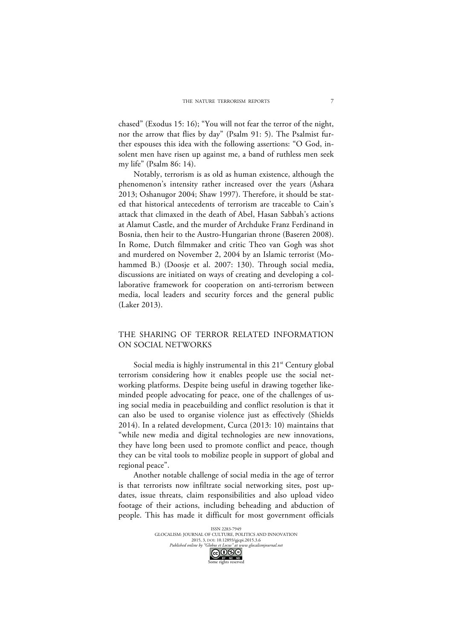chased" (Exodus 15: 16); "You will not fear the terror of the night, nor the arrow that flies by day" (Psalm 91: 5). The Psalmist further espouses this idea with the following assertions: "O God, insolent men have risen up against me, a band of ruthless men seek my life" (Psalm 86: 14).

Notably, terrorism is as old as human existence, although the phenomenon's intensity rather increased over the years (Ashara 2013; Oshanugor 2004; Shaw 1997). Therefore, it should be stated that historical antecedents of terrorism are traceable to Cain's attack that climaxed in the death of Abel, Hasan Sabbah's actions at Alamut Castle, and the murder of Archduke Franz Ferdinand in Bosnia, then heir to the Austro-Hungarian throne (Baseren 2008). In Rome, Dutch filmmaker and critic Theo van Gogh was shot and murdered on November 2, 2004 by an Islamic terrorist (Mohammed B.) (Doosje et al. 2007: 130). Through social media, discussions are initiated on ways of creating and developing a collaborative framework for cooperation on anti-terrorism between media, local leaders and security forces and the general public (Laker 2013).

## THE SHARING OF TERROR RELATED INFORMATION ON SOCIAL NETWORKS

Social media is highly instrumental in this 21<sup>st</sup> Century global terrorism considering how it enables people use the social networking platforms. Despite being useful in drawing together likeminded people advocating for peace, one of the challenges of using social media in peacebuilding and conflict resolution is that it can also be used to organise violence just as effectively (Shields 2014). In a related development, Curca (2013: 10) maintains that "while new media and digital technologies are new innovations, they have long been used to promote conflict and peace, though they can be vital tools to mobilize people in support of global and regional peace".

Another notable challenge of social media in the age of terror is that terrorists now infiltrate social networking sites, post updates, issue threats, claim responsibilities and also upload video footage of their actions, including beheading and abduction of people. This has made it difficult for most government officials

> ISSN 2283-7949 GLOCALISM: JOURNAL OF CULTURE, POLITICS AND INNOVATION 2015, 3, DOI: 10.12893/gjcpi.2015.3.6 *Published online by "Globus et Locus" at www.glocalismjournal.net*<br>  $\bigodot \bigodot \bigodot \bigodot \bigodot$ me rights reserved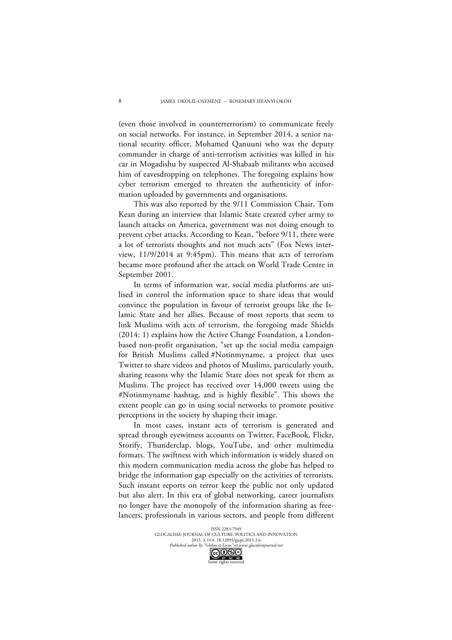(even those involved in counterterrorism) to communicate freely on social networks. For instance, in September 2014, a senior national security officer, Mohamed Qanuuni who was the deputy commander in charge of anti-terrorism activities was killed in his car in Mogadishu by suspected Al-Shabaab militants who accused him of eavesdropping on telephones. The foregoing explains how cyber terrorism emerged to threaten the authenticity of information uploaded by governments and organisations.

This was also reported by the 9/11 Commission Chair, Tom Kean during an interview that Islamic State created cyber army to launch attacks on America, government was not doing enough to prevent cyber attacks. According to Kean, "before 9/11, there were a lot of terrorists thoughts and not much acts" (Fox News interview, 11/9/2014 at 9:45pm). This means that acts of terrorism became more profound after the attack on World Trade Centre in September 2001.

In terms of information war, social media platforms are utilised in control the information space to share ideas that would convince the population in favour of terrorist groups like the Islamic State and her allies. Because of most reports that seem to link Muslims with acts of terrorism, the foregoing made Shields (2014: 1) explains how the Active Change Foundation, a Londonbased non-profit organisation, "set up the social media campaign for British Muslims called #Notinmyname, a project that uses Twitter to share videos and photos of Muslims, particularly youth, sharing reasons why the Islamic State does not speak for them as Muslims. The project has received over 14,000 tweets using the #Notinmyname hashtag, and is highly flexible". This shows the extent people can go in using social networks to promote positive perceptions in the society by shaping their image.

In most cases, instant acts of terrorism is generated and spread through eyewitness accounts on Twitter, FaceBook, Flickr, Storify, Thunderclap, blogs, YouTube, and other multimedia formats. The swiftness with which information is widely shared on this modern communication media across the globe has helped to bridge the information gap especially on the activities of terrorists. Such instant reports on terror keep the public not only updated but also alert. In this era of global networking, career journalists no longer have the monopoly of the information sharing as freelancers, professionals in various sectors, and people from different

me rights reserved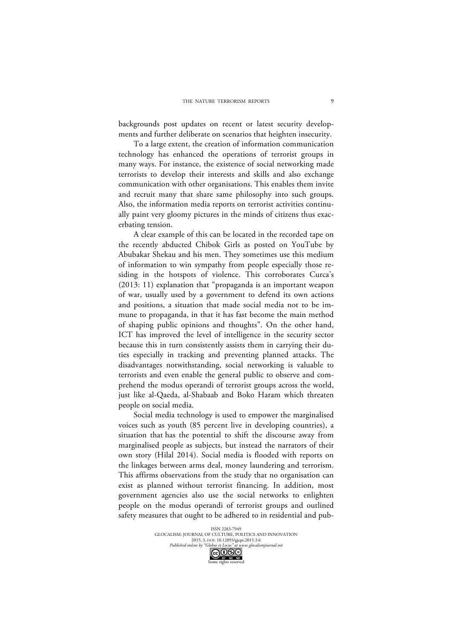backgrounds post updates on recent or latest security developments and further deliberate on scenarios that heighten insecurity.

To a large extent, the creation of information communication technology has enhanced the operations of terrorist groups in many ways. For instance, the existence of social networking made terrorists to develop their interests and skills and also exchange communication with other organisations. This enables them invite and recruit many that share same philosophy into such groups. Also, the information media reports on terrorist activities continually paint very gloomy pictures in the minds of citizens thus exacerbating tension.

A clear example of this can be located in the recorded tape on the recently abducted Chibok Girls as posted on YouTube by Abubakar Shekau and his men. They sometimes use this medium of information to win sympathy from people especially those residing in the hotspots of violence. This corroborates Curca's (2013: 11) explanation that "propaganda is an important weapon of war, usually used by a government to defend its own actions and positions, a situation that made social media not to be immune to propaganda, in that it has fast become the main method of shaping public opinions and thoughts". On the other hand, ICT has improved the level of intelligence in the security sector because this in turn consistently assists them in carrying their duties especially in tracking and preventing planned attacks. The disadvantages notwithstanding, social networking is valuable to terrorists and even enable the general public to observe and comprehend the modus operandi of terrorist groups across the world, just like al-Qaeda, al-Shabaab and Boko Haram which threaten people on social media.

Social media technology is used to empower the marginalised voices such as youth (85 percent live in developing countries), a situation that has the potential to shift the discourse away from marginalised people as subjects, but instead the narrators of their own story (Hilal 2014). Social media is flooded with reports on the linkages between arms deal, money laundering and terrorism. This affirms observations from the study that no organisation can exist as planned without terrorist financing. In addition, most government agencies also use the social networks to enlighten people on the modus operandi of terrorist groups and outlined safety measures that ought to be adhered to in residential and pub-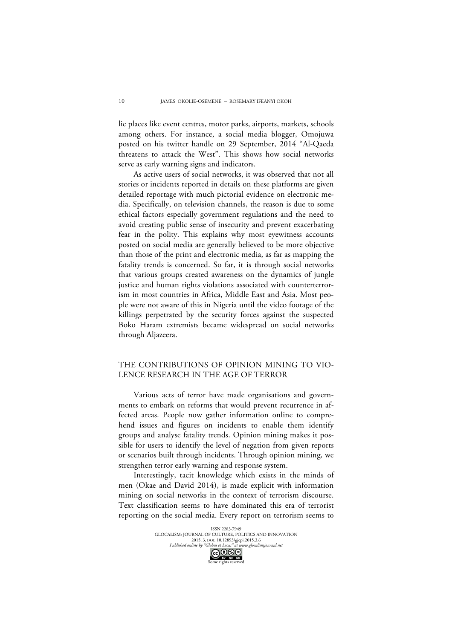lic places like event centres, motor parks, airports, markets, schools among others. For instance, a social media blogger, Omojuwa posted on his twitter handle on 29 September, 2014 "Al-Qaeda threatens to attack the West". This shows how social networks serve as early warning signs and indicators.

As active users of social networks, it was observed that not all stories or incidents reported in details on these platforms are given detailed reportage with much pictorial evidence on electronic media. Specifically, on television channels, the reason is due to some ethical factors especially government regulations and the need to avoid creating public sense of insecurity and prevent exacerbating fear in the polity. This explains why most eyewitness accounts posted on social media are generally believed to be more objective than those of the print and electronic media, as far as mapping the fatality trends is concerned. So far, it is through social networks that various groups created awareness on the dynamics of jungle justice and human rights violations associated with counterterrorism in most countries in Africa, Middle East and Asia. Most people were not aware of this in Nigeria until the video footage of the killings perpetrated by the security forces against the suspected Boko Haram extremists became widespread on social networks through Aljazeera.

## THE CONTRIBUTIONS OF OPINION MINING TO VIO-LENCE RESEARCH IN THE AGE OF TERROR

Various acts of terror have made organisations and governments to embark on reforms that would prevent recurrence in affected areas. People now gather information online to comprehend issues and figures on incidents to enable them identify groups and analyse fatality trends. Opinion mining makes it possible for users to identify the level of negation from given reports or scenarios built through incidents. Through opinion mining, we strengthen terror early warning and response system.

Interestingly, tacit knowledge which exists in the minds of men (Okae and David 2014), is made explicit with information mining on social networks in the context of terrorism discourse. Text classification seems to have dominated this era of terrorist reporting on the social media. Every report on terrorism seems to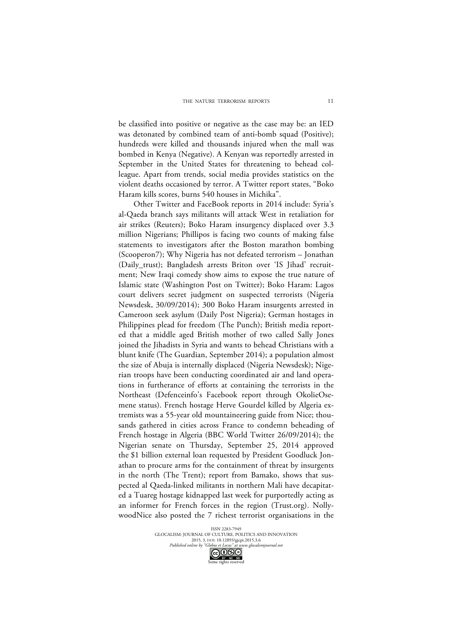be classified into positive or negative as the case may be: an IED was detonated by combined team of anti-bomb squad (Positive); hundreds were killed and thousands injured when the mall was bombed in Kenya (Negative). A Kenyan was reportedly arrested in September in the United States for threatening to behead colleague. Apart from trends, social media provides statistics on the violent deaths occasioned by terror. A Twitter report states, "Boko Haram kills scores, burns 540 houses in Michika".

Other Twitter and FaceBook reports in 2014 include: Syria's al-Qaeda branch says militants will attack West in retaliation for air strikes (Reuters); Boko Haram insurgency displaced over 3.3 million Nigerians; Phillipos is facing two counts of making false statements to investigators after the Boston marathon bombing (Scooperon7); Why Nigeria has not defeated terrorism – Jonathan (Daily\_trust); Bangladesh arrests Briton over 'IS Jihad' recruitment; New Iraqi comedy show aims to expose the true nature of Islamic state (Washington Post on Twitter); Boko Haram: Lagos court delivers secret judgment on suspected terrorists (Nigeria Newsdesk, 30/09/2014); 300 Boko Haram insurgents arrested in Cameroon seek asylum (Daily Post Nigeria); German hostages in Philippines plead for freedom (The Punch); British media reported that a middle aged British mother of two called Sally Jones joined the Jihadists in Syria and wants to behead Christians with a blunt knife (The Guardian, September 2014); a population almost the size of Abuja is internally displaced (Nigeria Newsdesk); Nigerian troops have been conducting coordinated air and land operations in furtherance of efforts at containing the terrorists in the Northeast (Defenceinfo's Facebook report through OkolieOsemene status). French hostage Herve Gourdel killed by Algeria extremists was a 55-year old mountaineering guide from Nice; thousands gathered in cities across France to condemn beheading of French hostage in Algeria (BBC World Twitter 26/09/2014); the Nigerian senate on Thursday, September 25, 2014 approved the \$1 billion external loan requested by President Goodluck Jonathan to procure arms for the containment of threat by insurgents in the north (The Trent); report from Bamako, shows that suspected al Qaeda-linked militants in northern Mali have decapitated a Tuareg hostage kidnapped last week for purportedly acting as an informer for French forces in the region (Trust.org). NollywoodNice also posted the 7 richest terrorist organisations in the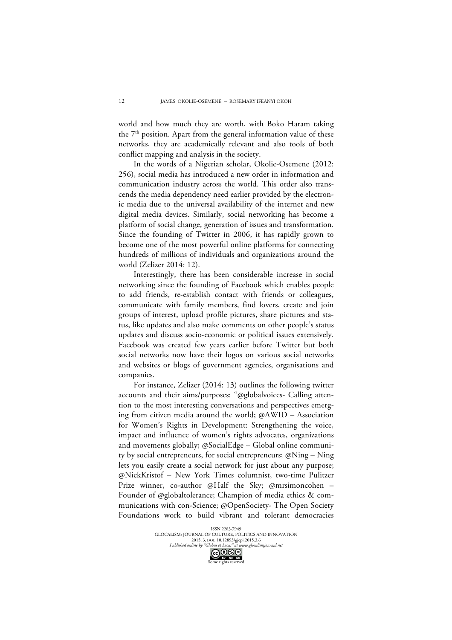world and how much they are worth, with Boko Haram taking the  $7<sup>th</sup>$  position. Apart from the general information value of these networks, they are academically relevant and also tools of both conflict mapping and analysis in the society.

In the words of a Nigerian scholar, Okolie-Osemene (2012: 256), social media has introduced a new order in information and communication industry across the world. This order also transcends the media dependency need earlier provided by the electronic media due to the universal availability of the internet and new digital media devices. Similarly, social networking has become a platform of social change, generation of issues and transformation. Since the founding of Twitter in 2006, it has rapidly grown to become one of the most powerful online platforms for connecting hundreds of millions of individuals and organizations around the world (Zelizer 2014: 12).

Interestingly, there has been considerable increase in social networking since the founding of Facebook which enables people to add friends, re-establish contact with friends or colleagues, communicate with family members, find lovers, create and join groups of interest, upload profile pictures, share pictures and status, like updates and also make comments on other people's status updates and discuss socio-economic or political issues extensively. Facebook was created few years earlier before Twitter but both social networks now have their logos on various social networks and websites or blogs of government agencies, organisations and companies.

For instance, Zelizer (2014: 13) outlines the following twitter accounts and their aims/purposes: "@globalvoices- Calling attention to the most interesting conversations and perspectives emerging from citizen media around the world; @AWID – Association for Women's Rights in Development: Strengthening the voice, impact and influence of women's rights advocates, organizations and movements globally; @SocialEdge – Global online community by social entrepreneurs, for social entrepreneurs; @Ning – Ning lets you easily create a social network for just about any purpose; @NickKristof – New York Times columnist, two-time Pulitzer Prize winner, co-author @Half the Sky; @mrsimoncohen Founder of @globaltolerance; Champion of media ethics & communications with con-Science; @OpenSociety- The Open Society Foundations work to build vibrant and tolerant democracies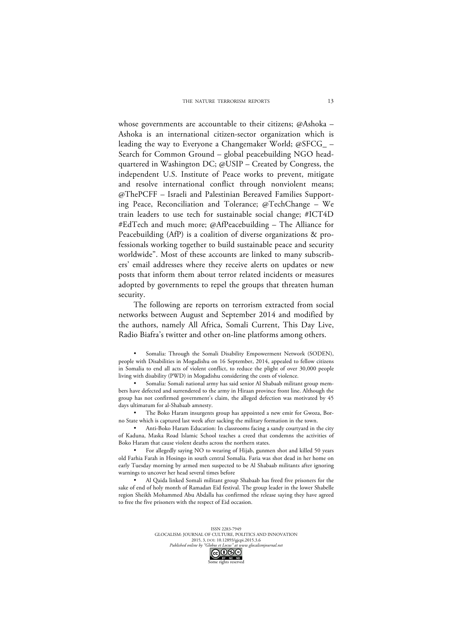whose governments are accountable to their citizens; @Ashoka – Ashoka is an international citizen-sector organization which is leading the way to Everyone a Changemaker World; @SFCG\_ – Search for Common Ground – global peacebuilding NGO headquartered in Washington DC; @USIP – Created by Congress, the independent U.S. Institute of Peace works to prevent, mitigate and resolve international conflict through nonviolent means; @ThePCFF – Israeli and Palestinian Bereaved Families Supporting Peace, Reconciliation and Tolerance; @TechChange – We train leaders to use tech for sustainable social change; #ICT4D #EdTech and much more; @AfPeacebuilding – The Alliance for Peacebuilding (AfP) is a coalition of diverse organizations & professionals working together to build sustainable peace and security worldwide". Most of these accounts are linked to many subscribers' email addresses where they receive alerts on updates or new posts that inform them about terror related incidents or measures adopted by governments to repel the groups that threaten human security.

The following are reports on terrorism extracted from social networks between August and September 2014 and modified by the authors, namely All Africa, Somali Current, This Day Live, Radio Biafra's twitter and other on-line platforms among others.

Somalia: Through the Somali Disability Empowerment Network (SODEN), people with Disabilities in Mogadishu on 16 September, 2014, appealed to fellow citizens in Somalia to end all acts of violent conflict, to reduce the plight of over 30,000 people living with disability (PWD) in Mogadishu considering the costs of violence.

• Somalia: Somali national army has said senior Al Shabaab militant group members have defected and surrendered to the army in Hiraan province front line. Although the group has not confirmed government's claim, the alleged defection was motivated by 45 days ultimatum for al-Shabaab amnesty.

• The Boko Haram insurgents group has appointed a new emir for Gwoza, Borno State which is captured last week after sacking the military formation in the town.

• Anti-Boko Haram Education: In classrooms facing a sandy courtyard in the city of Kaduna, Maska Road Islamic School teaches a creed that condemns the activities of Boko Haram that cause violent deaths across the northern states.

• For allegedly saying NO to wearing of Hijab, gunmen shot and killed 50 years old Farhia Farah in Hosingo in south central Somalia. Faria was shot dead in her home on early Tuesday morning by armed men suspected to be Al Shabaab militants after ignoring warnings to uncover her head several times before

• Al Qaida linked Somali militant group Shabaab has freed five prisoners for the sake of end of holy month of Ramadan Eid festival. The group leader in the lower Shabelle region Sheikh Mohammed Abu Abdalla has confirmed the release saying they have agreed to free the five prisoners with the respect of Eid occasion.

> ISSN 2283-7949 GLOCALISM: JOURNAL OF CULTURE, POLITICS AND INNOVATION 2015, 3, DOI: 10.12893/gjcpi.2015.3.6 *Published online by "Globus et Locus" at www.glocalismjournal.net*<br>  $\begin{bmatrix} \begin{array}{c} \begin{array}{c} \text{or} \end{array} & \begin{array}{c} \text{or} \end{array} & \begin{array}{c} \text{or} \end{array} & \begin{array}{c} \text{or} \end{array} & \begin{array}{c} \text{or} \end{array} & \begin{array}{c} \text{or} \end{array} & \begin{array}{c} \text{or} \end{array} & \begin{array}{c} \text{or} \$

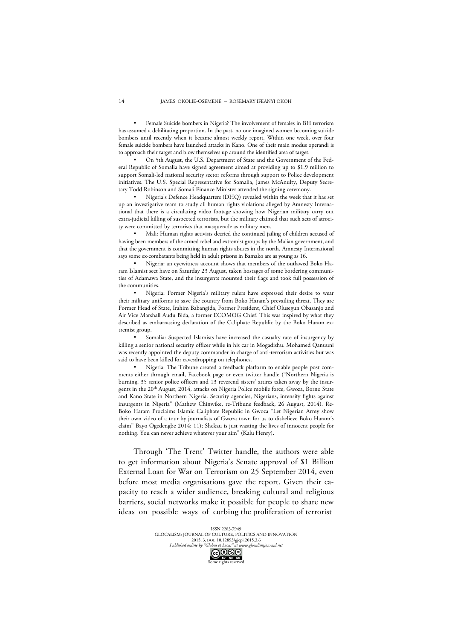• Female Suicide bombers in Nigeria? The involvement of females in BH terrorism has assumed a debilitating proportion. In the past, no one imagined women becoming suicide bombers until recently when it became almost weekly report. Within one week, over four female suicide bombers have launched attacks in Kano. One of their main modus operandi is to approach their target and blow themselves up around the identified area of target.

• On 5th August, the U.S. Department of State and the Government of the Federal Republic of Somalia have signed agreement aimed at providing up to \$1.9 million to support Somali-led national security sector reforms through support to Police development initiatives. The U.S. Special Representative for Somalia, James McAnulty, Deputy Secretary Todd Robinson and Somali Finance Minister attended the signing ceremony.

• Nigeria's Defence Headquarters (DHQ) revealed within the week that it has set up an investigative team to study all human rights violations alleged by Amnesty International that there is a circulating video footage showing how Nigerian military carry out extra-judicial killing of suspected terrorists, but the military claimed that such acts of atrocity were committed by terrorists that masquerade as military men.

• Mali: Human rights activists decried the continued jailing of children accused of having been members of the armed rebel and extremist groups by the Malian government, and that the government is committing human rights abuses in the north. Amnesty International says some ex-combatants being held in adult prisons in Bamako are as young as 16.

• Nigeria: an eyewitness account shows that members of the outlawed Boko Haram Islamist sect have on Saturday 23 August, taken hostages of some bordering communities of Adamawa State, and the insurgents mounted their flags and took full possession of the communities.

• Nigeria: Former Nigeria's military rulers have expressed their desire to wear their military uniforms to save the country from Boko Haram's prevailing threat. They are Former Head of State, Irahim Babangida, Former President, Chief Olusegun Obasanjo and Air Vice Marshall Audu Bida, a former ECOMOG Chief. This was inspired by what they described as embarrassing declaration of the Caliphate Republic by the Boko Haram extremist group.

• Somalia: Suspected Islamists have increased the casualty rate of insurgency by killing a senior national security officer while in his car in Mogadishu. Mohamed Qanuuni was recently appointed the deputy commander in charge of anti-terrorism activities but was said to have been killed for eavesdropping on telephones.

• Nigeria: The Tribune created a feedback platform to enable people post comments either through email, Facebook page or even twitter handle ("Northern Nigeria is burning! 35 senior police officers and 13 reverend sisters' attires taken away by the insurgents in the 20<sup>th</sup> August, 2014, attacks on Nigeria Police mobile force, Gwoza, Borno State and Kano State in Northern Nigeria. Security agencies, Nigerians, intensify fights against insurgents in Nigeria" (Mathew Chinwike, re-Tribune feedback, 26 August, 2014). Re-Boko Haram Proclaims Islamic Caliphate Republic in Gwoza "Let Nigerian Army show their own video of a tour by journalists of Gwoza town for us to disbelieve Boko Haram's claim" Bayo Ogedengbe 2014: 11); Shekau is just wasting the lives of innocent people for nothing. You can never achieve whatever your aim" (Kalu Henry).

Through 'The Trent' Twitter handle, the authors were able to get information about Nigeria's Senate approval of \$1 Billion External Loan for War on Terrorism on 25 September 2014, even before most media organisations gave the report. Given their capacity to reach a wider audience, breaking cultural and religious barriers, social networks make it possible for people to share new ideas on possible ways of curbing the proliferation of terrorist

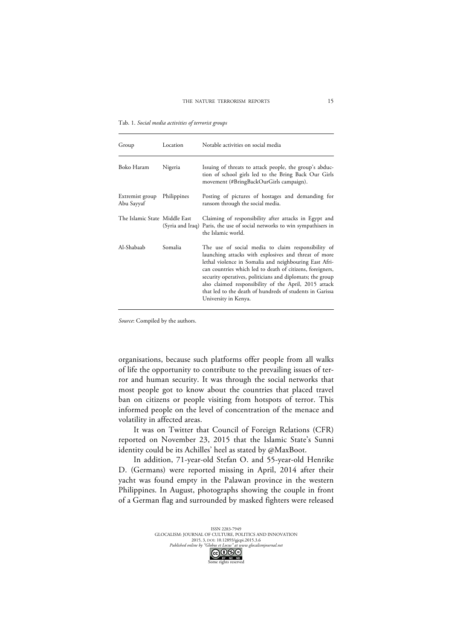Tab. 1. *Social media activities of terrorist groups*

| Group                          | Location    | Notable activities on social media                                                                                                                                                                                                                                                                                                                                                                                                          |
|--------------------------------|-------------|---------------------------------------------------------------------------------------------------------------------------------------------------------------------------------------------------------------------------------------------------------------------------------------------------------------------------------------------------------------------------------------------------------------------------------------------|
| Boko Haram                     | Nigeria     | Issuing of threats to attack people, the group's abduc-<br>tion of school girls led to the Bring Back Our Girls<br>movement (#BringBackOurGirls campaign).                                                                                                                                                                                                                                                                                  |
| Extremist group<br>Abu Sayyaf  | Philippines | Posting of pictures of hostages and demanding for<br>ransom through the social media.                                                                                                                                                                                                                                                                                                                                                       |
| The Islamic State  Middle East |             | Claiming of responsibility after attacks in Egypt and<br>(Syria and Iraq) Paris, the use of social networks to win sympathisers in<br>the Islamic world.                                                                                                                                                                                                                                                                                    |
| Al-Shabaab                     | Somalia     | The use of social media to claim responsibility of<br>launching attacks with explosives and threat of more<br>lethal violence in Somalia and neighbouring East Afri-<br>can countries which led to death of citizens, foreigners,<br>security operatives, politicians and diplomats; the group<br>also claimed responsibility of the April, 2015 attack<br>that led to the death of hundreds of students in Garissa<br>University in Kenya. |

*Source*: Compiled by the authors.

organisations, because such platforms offer people from all walks of life the opportunity to contribute to the prevailing issues of terror and human security. It was through the social networks that most people got to know about the countries that placed travel ban on citizens or people visiting from hotspots of terror. This informed people on the level of concentration of the menace and volatility in affected areas.

It was on Twitter that Council of Foreign Relations (CFR) reported on November 23, 2015 that the Islamic State's Sunni identity could be its Achilles' heel as stated by @MaxBoot.

In addition, 71-year-old Stefan O. and 55-year-old Henrike D. (Germans) were reported missing in April, 2014 after their yacht was found empty in the Palawan province in the western Philippines. In August, photographs showing the couple in front of a German flag and surrounded by masked fighters were released

> ISSN 2283-7949 GLOCALISM: JOURNAL OF CULTURE, POLITICS AND INNOVATION 2015, 3, DOI: 10.12893/gjcpi.2015.3.6 *Published online by "Globus et Locus" at www.glocalismjournal.net*<br>  $\bigodot_{\text{BV}}\bigodot_{\text{BV}}\bigodot_{\text{BV}}$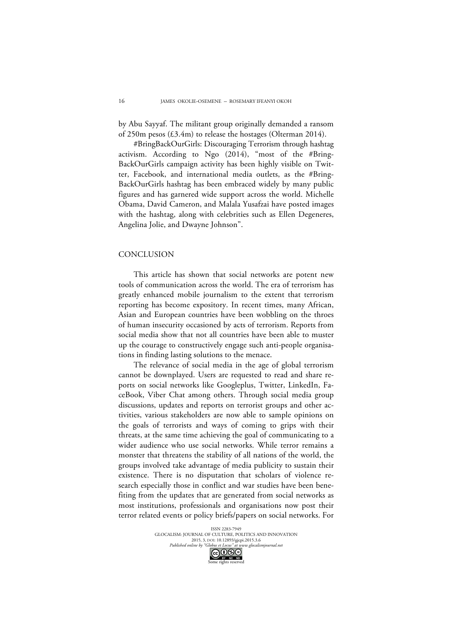by Abu Sayyaf. The militant group originally demanded a ransom of 250m pesos (£3.4m) to release the hostages (Olterman 2014).

#BringBackOurGirls: Discouraging Terrorism through hashtag activism. According to Ngo (2014), "most of the #Bring-BackOurGirls campaign activity has been highly visible on Twitter, Facebook, and international media outlets, as the #Bring-BackOurGirls hashtag has been embraced widely by many public figures and has garnered wide support across the world. Michelle Obama, David Cameron, and Malala Yusafzai have posted images with the hashtag, along with celebrities such as Ellen Degeneres, Angelina Jolie, and Dwayne Johnson".

# **CONCLUSION**

This article has shown that social networks are potent new tools of communication across the world. The era of terrorism has greatly enhanced mobile journalism to the extent that terrorism reporting has become expository. In recent times, many African, Asian and European countries have been wobbling on the throes of human insecurity occasioned by acts of terrorism. Reports from social media show that not all countries have been able to muster up the courage to constructively engage such anti-people organisations in finding lasting solutions to the menace.

The relevance of social media in the age of global terrorism cannot be downplayed. Users are requested to read and share reports on social networks like Googleplus, Twitter, LinkedIn, FaceBook, Viber Chat among others. Through social media group discussions, updates and reports on terrorist groups and other activities, various stakeholders are now able to sample opinions on the goals of terrorists and ways of coming to grips with their threats, at the same time achieving the goal of communicating to a wider audience who use social networks. While terror remains a monster that threatens the stability of all nations of the world, the groups involved take advantage of media publicity to sustain their existence. There is no disputation that scholars of violence research especially those in conflict and war studies have been benefiting from the updates that are generated from social networks as most institutions, professionals and organisations now post their terror related events or policy briefs/papers on social networks. For

me rights reserved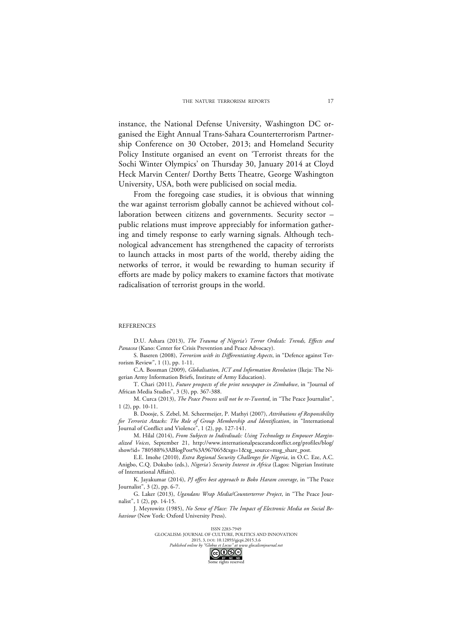instance, the National Defense University, Washington DC organised the Eight Annual Trans-Sahara Counterterrorism Partnership Conference on 30 October, 2013; and Homeland Security Policy Institute organised an event on 'Terrorist threats for the Sochi Winter Olympics' on Thursday 30, January 2014 at Cloyd Heck Marvin Center/ Dorthy Betts Theatre, George Washington University, USA, both were publicised on social media.

From the foregoing case studies, it is obvious that winning the war against terrorism globally cannot be achieved without collaboration between citizens and governments. Security sector – public relations must improve appreciably for information gathering and timely response to early warning signals. Although technological advancement has strengthened the capacity of terrorists to launch attacks in most parts of the world, thereby aiding the networks of terror, it would be rewarding to human security if efforts are made by policy makers to examine factors that motivate radicalisation of terrorist groups in the world.

#### **REFERENCES**

D.U. Ashara (2013), *The Trauma of Nigeria's Terror Ordeals: Trends, Effects and Panacea* (Kano: Center for Crisis Prevention and Peace Advocacy).

S. Baseren (2008), *Terrorism with its Differentiating Aspects*, in "Defence against Terrorism Review", 1 (1), pp. 1-11.

C.A. Bossman (2009), *Globalisation, ICT and Information Revolution* (Ikeja: The Nigerian Army Information Briefs, Institute of Army Education).

T. Chari (2011), *Future prospects of the print newspaper in Zimbabwe*, in "Journal of African Media Studies", 3 (3), pp. 367-388.

M. Curca (2013), *The Peace Process will not be re-Tweeted*, in "The Peace Journalist", 1 (2), pp. 10-11.

B. Doosje, S. Zebel, M. Scheermeijer, P. Mathyi (2007), *Attributions of Responsibility for Terrorist Attacks: The Role of Group Membership and Identification*, in "International Journal of Conflict and Violence", 1 (2), pp. 127-141.

M. Hilal (2014), *From Subjects to Indivdiuals: Using Technology to Empower Marginalized Voices*, September 21, http://www.internationalpeaceandconflict.org/profiles/blog/ show?id= 780588%3ABlogPost%3A967065&xgs=1&xg\_source=msg\_share\_post.

E.E. Imohe (2010), *Extra Regional Security Challenges for Nigeria*, in O.C. Eze, A.C. Anigbo, C.Q. Dokubo (eds.), *Nigeria's Security Interest in Africa* (Lagos: Nigerian Institute of International Affairs).

K. Jayakumar (2014), *PJ offers best approach to Boko Haram coverage*, in "The Peace Journalist", 3 (2), pp. 6-7.

G. Laker (2013), *Ugandans Wrap Media/Counterterror Project*, in "The Peace Journalist", 1 (2), pp. 14-15.

J. Meyrowitz (1985), *No Sense of Place: The Impact of Electronic Media on Social Behaviour* (New York: Oxford University Press).

> ISSN 2283-7949 GLOCALISM: JOURNAL OF CULTURE, POLITICS AND INNOVATION 2015, 3, DOI: 10.12893/gjcpi.2015.3.6 *Published online by "Globus et Locus" at www.glocalismjournal.net*<br>  $\bigodot \bigodot \bigodot \bigodot$ <br> **BY**